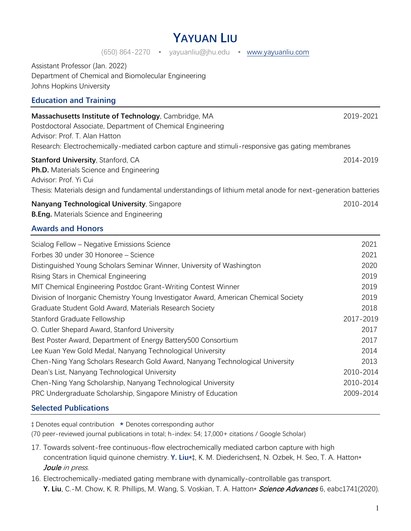# **YAYUAN LIU**

#### (650) 864-2270 • yayuanliu@jhu.edu • [www.yayuanliu.com](https://www.yayuanliu.com/)

Assistant Professor (Jan. 2022) Department of Chemical and Biomolecular Engineering Johns Hopkins University

#### **Education and Training**

| Massachusetts Institute of Technology, Cambridge, MA                                            | 2019-2021 |
|-------------------------------------------------------------------------------------------------|-----------|
| Postdoctoral Associate, Department of Chemical Engineering                                      |           |
| Advisor: Prof. T. Alan Hatton                                                                   |           |
| Research: Electrochemically-mediated carbon capture and stimuli-responsive gas gating membranes |           |

## **Stanford University**, Stanford, CA 2014-2019 **Ph.D.** Materials Science and Engineering Advisor: Prof. Yi Cui

Thesis: Materials design and fundamental understandings of lithium metal anode for next-generation batteries

**Nanyang Technological University**, Singapore 2010-2014 **2010-2014 B.Eng.** Materials Science and Engineering

#### **Awards and Honors**

| Scialog Fellow – Negative Emissions Science                                         | 2021      |
|-------------------------------------------------------------------------------------|-----------|
| Forbes 30 under 30 Honoree - Science                                                | 2021      |
| Distinguished Young Scholars Seminar Winner, University of Washington               | 2020      |
| Rising Stars in Chemical Engineering                                                | 2019      |
| MIT Chemical Engineering Postdoc Grant-Writing Contest Winner                       | 2019      |
| Division of Inorganic Chemistry Young Investigator Award, American Chemical Society | 2019      |
| Graduate Student Gold Award, Materials Research Society                             | 2018      |
| Stanford Graduate Fellowship                                                        | 2017-2019 |
| O. Cutler Shepard Award, Stanford University                                        | 2017      |
| Best Poster Award, Department of Energy Battery500 Consortium                       | 2017      |
| Lee Kuan Yew Gold Medal, Nanyang Technological University                           | 2014      |
| Chen-Ning Yang Scholars Research Gold Award, Nanyang Technological University       | 2013      |
| Dean's List, Nanyang Technological University                                       | 2010-2014 |
| Chen-Ning Yang Scholarship, Nanyang Technological University                        | 2010-2014 |
| PRC Undergraduate Scholarship, Singapore Ministry of Education                      | 2009-2014 |
|                                                                                     |           |

#### **Selected Publications**

‡ Denotes equal contribution **\*** Denotes corresponding author

(70 peer-reviewed journal publications in total; h-index: 54; 17,000+ citations / Google Scholar)

- 17. Towards solvent-free continuous-flow electrochemically mediated carbon capture with high concentration liquid quinone chemistry. **Y. Liu\***‡, K. M. Diederichsen‡, N. Ozbek, H. Seo, T. A. Hatton\* Joule in press.
- 16. Electrochemically-mediated gating membrane with dynamically-controllable gas transport. Y. Liu, C.-M. Chow, K. R. Phillips, M. Wang, S. Voskian, T. A. Hatton\* *Science Advances* 6, eabc1741(2020).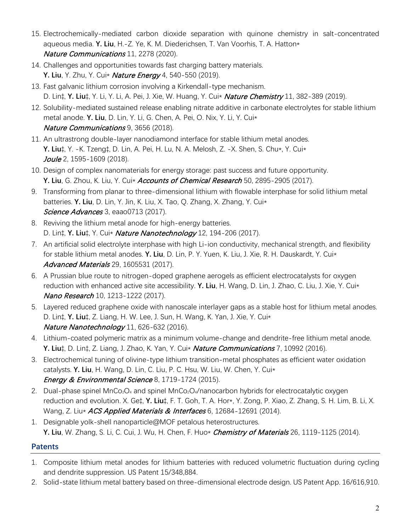- 15. Electrochemically-mediated carbon dioxide separation with quinone chemistry in salt-concentrated aqueous media. **Y. Liu**, H.-Z. Ye, K. M. Diederichsen, T. Van Voorhis, T. A. Hatton\* Nature Communications 11, 2278 (2020).
- 14. Challenges and opportunities towards fast charging battery materials. **Y. Liu**, Y. Zhu, Y. Cui\* Nature Energy 4, 540-550 (2019).
- 13. Fast galvanic lithium corrosion involving a Kirkendall-type mechanism. D. Lin‡, **Y. Liu**‡, Y. Li, Y. Li, A. Pei, J. Xie, W. Huang, Y. Cui\* Nature Chemistry 11, 382-389 (2019).
- 12. Solubility-mediated sustained release enabling nitrate additive in carbonate electrolytes for stable lithium metal anode. **Y. Liu**, D. Lin, Y. Li, G. Chen, A. Pei, O. Nix, Y. Li, Y. Cui\* Nature Communications 9, 3656 (2018).
- 11. An ultrastrong double-layer nanodiamond interface for stable lithium metal anodes. **Y. Liu**‡, Y. -K. Tzeng‡, D. Lin, A. Pei, H. Lu, N. A. Melosh, Z. -X. Shen, S. Chu\*, Y. Cui\* Joule 2, 1595-1609 (2018).
- 10. Design of complex nanomaterials for energy storage: past success and future opportunity. **Y. Liu**, G. Zhou, K. Liu, Y. Cui\* Accounts of Chemical Research 50, 2895-2905 (2017).
- 9. Transforming from planar to three-dimensional lithium with flowable interphase for solid lithium metal batteries. **Y. Liu**, D. Lin, Y. Jin, K. Liu, X. Tao, Q. Zhang, X. Zhang, Y. Cui\* Science Advances 3, eaao0713 (2017).
- 8. Reviving the lithium metal anode for high-energy batteries. D. Lin‡, **Y. Liu**‡, Y. Cui\* Nature Nanotechnology 12, 194-206 (2017).
- 7. An artificial solid electrolyte interphase with high Li-ion conductivity, mechanical strength, and flexibility for stable lithium metal anodes. **Y. Liu**, D. Lin, P. Y. Yuen, K. Liu, J. Xie, R. H. Dauskardt, Y. Cui\* Advanced Materials 29, 1605531 (2017).
- 6. A Prussian blue route to nitrogen-doped graphene aerogels as efficient electrocatalysts for oxygen reduction with enhanced active site accessibility. **Y. Liu**, H. Wang, D. Lin, J. Zhao, C. Liu, J. Xie, Y. Cui\* Nano Research 10, 1213-1222 (2017).
- 5. Layered reduced graphene oxide with nanoscale interlayer gaps as a stable host for lithium metal anodes. D. Lin‡, **Y. Liu**‡, Z. Liang, H. W. Lee, J. Sun, H. Wang, K. Yan, J. Xie, Y. Cui\* Nature Nanotechnology 11, 626-632 (2016).
- 4. Lithium-coated polymeric matrix as a minimum volume-change and dendrite-free lithium metal anode. **Y. Liu**‡, D. Lin‡, Z. Liang, J. Zhao, K. Yan, Y. Cui\* Nature Communications 7, 10992 (2016).
- 3. Electrochemical tuning of olivine-type lithium transition-metal phosphates as efficient water oxidation catalysts. **Y. Liu**, H. Wang, D. Lin, C. Liu, P. C. Hsu, W. Liu, W. Chen, Y. Cui\* Energy & Environmental Science 8, 1719-1724 (2015).
- 2. Dual-phase spinel MnCo<sub>2</sub>O<sub>4</sub> and spinel MnCo<sub>2</sub>O<sub>4</sub>/nanocarbon hybrids for electrocatalytic oxygen reduction and evolution. X. Ge‡, **Y. Liu**‡, F. T. Goh, T. A. Hor\*, Y. Zong, P. Xiao, Z. Zhang, S. H. Lim, B. Li, X. Wang, Z. Liu\* ACS Applied Materials & Interfaces 6, 12684-12691 (2014).
- 1. Designable yolk-shell nanoparticle@MOF petalous heterostructures. **Y. Liu,** W. Zhang, S. Li, C. Cui, J. Wu, H. Chen, F. Huo\* *Chemistry of Materials* 26, 1119-1125 (2014).

# **Patents**

- 1. Composite lithium metal anodes for lithium batteries with reduced volumetric fluctuation during cycling and dendrite suppression. US Patent 15/348,884.
- 2. Solid-state lithium metal battery based on three-dimensional electrode design. US Patent App. 16/616,910.